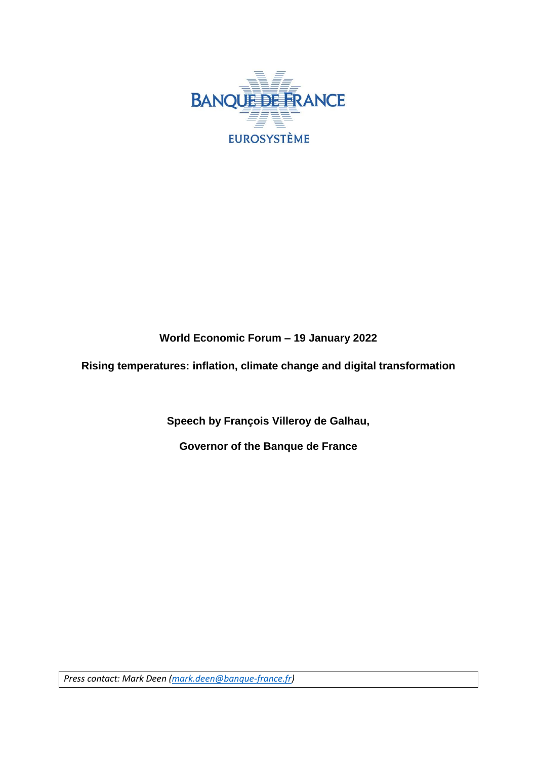

## **World Economic Forum – 19 January 2022**

**Rising temperatures: inflation, climate change and digital transformation**

**Speech by François Villeroy de Galhau,**

**Governor of the Banque de France**

*Press contact: Mark Deen [\(mark.deen@banque-france.fr\)](mailto:mark.deen@banque-france.fr)*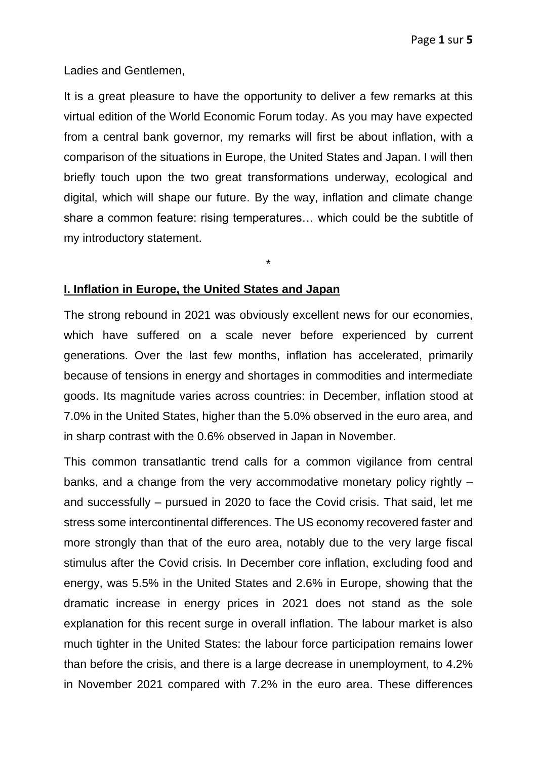Ladies and Gentlemen,

It is a great pleasure to have the opportunity to deliver a few remarks at this virtual edition of the World Economic Forum today. As you may have expected from a central bank governor, my remarks will first be about inflation, with a comparison of the situations in Europe, the United States and Japan. I will then briefly touch upon the two great transformations underway, ecological and digital, which will shape our future. By the way, inflation and climate change share a common feature: rising temperatures… which could be the subtitle of my introductory statement.

\*

## **I. Inflation in Europe, the United States and Japan**

The strong rebound in 2021 was obviously excellent news for our economies, which have suffered on a scale never before experienced by current generations. Over the last few months, inflation has accelerated, primarily because of tensions in energy and shortages in commodities and intermediate goods. Its magnitude varies across countries: in December, inflation stood at 7.0% in the United States, higher than the 5.0% observed in the euro area, and in sharp contrast with the 0.6% observed in Japan in November.

This common transatlantic trend calls for a common vigilance from central banks, and a change from the very accommodative monetary policy rightly – and successfully – pursued in 2020 to face the Covid crisis. That said, let me stress some intercontinental differences. The US economy recovered faster and more strongly than that of the euro area, notably due to the very large fiscal stimulus after the Covid crisis. In December core inflation, excluding food and energy, was 5.5% in the United States and 2.6% in Europe, showing that the dramatic increase in energy prices in 2021 does not stand as the sole explanation for this recent surge in overall inflation. The labour market is also much tighter in the United States: the labour force participation remains lower than before the crisis, and there is a large decrease in unemployment, to 4.2% in November 2021 compared with 7.2% in the euro area. These differences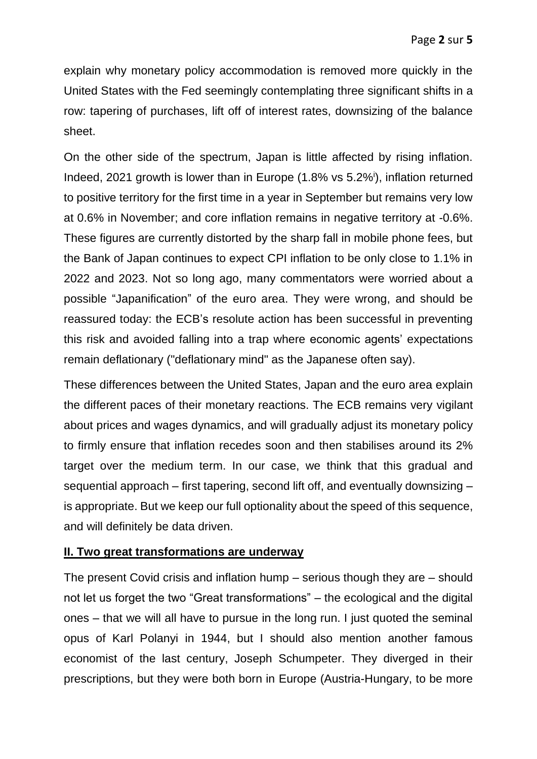explain why monetary policy accommodation is removed more quickly in the United States with the Fed seemingly contemplating three significant shifts in a row: tapering of purchases, lift off of interest rates, downsizing of the balance sheet.

On the other side of the spectrum, Japan is little affected by rising inflation. Indeed, 2021 growth is lower than in Europe (1.8% vs 5.2%<sup>i</sup>), inflation returned to positive territory for the first time in a year in September but remains very low at 0.6% in November; and core inflation remains in negative territory at -0.6%. These figures are currently distorted by the sharp fall in mobile phone fees, but the Bank of Japan continues to expect CPI inflation to be only close to 1.1% in 2022 and 2023. Not so long ago, many commentators were worried about a possible "Japanification" of the euro area. They were wrong, and should be reassured today: the ECB's resolute action has been successful in preventing this risk and avoided falling into a trap where economic agents' expectations remain deflationary ("deflationary mind" as the Japanese often say).

These differences between the United States, Japan and the euro area explain the different paces of their monetary reactions. The ECB remains very vigilant about prices and wages dynamics, and will gradually adjust its monetary policy to firmly ensure that inflation recedes soon and then stabilises around its 2% target over the medium term. In our case, we think that this gradual and sequential approach – first tapering, second lift off, and eventually downsizing – is appropriate. But we keep our full optionality about the speed of this sequence, and will definitely be data driven.

## **II. Two great transformations are underway**

The present Covid crisis and inflation hump – serious though they are – should not let us forget the two "Great transformations" – the ecological and the digital ones – that we will all have to pursue in the long run. I just quoted the seminal opus of Karl Polanyi in 1944, but I should also mention another famous economist of the last century, Joseph Schumpeter. They diverged in their prescriptions, but they were both born in Europe (Austria-Hungary, to be more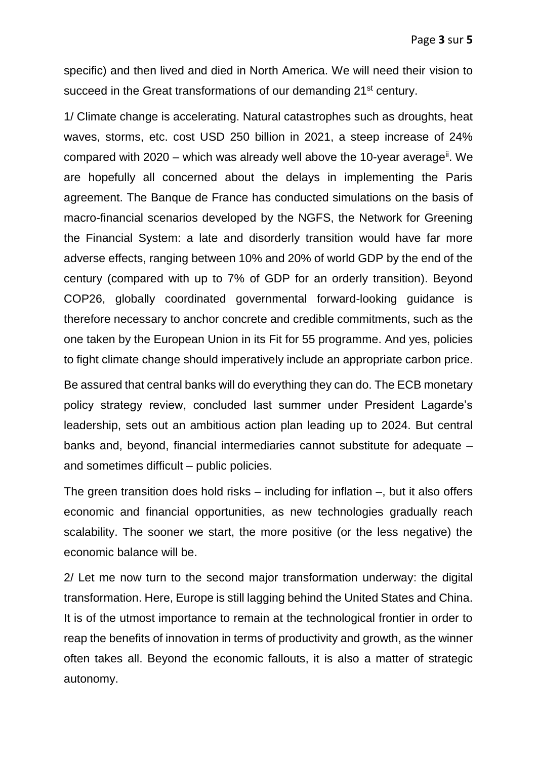specific) and then lived and died in North America. We will need their vision to succeed in the Great transformations of our demanding 21<sup>st</sup> century.

1/ Climate change is accelerating. Natural catastrophes such as droughts, heat waves, storms, etc. cost USD 250 billion in 2021, a steep increase of 24% compared with 2020 – which was already well above the 10-year average<sup>ii</sup>. We are hopefully all concerned about the delays in implementing the Paris agreement. The Banque de France has conducted simulations on the basis of macro-financial scenarios developed by the NGFS, the Network for Greening the Financial System: a late and disorderly transition would have far more adverse effects, ranging between 10% and 20% of world GDP by the end of the century (compared with up to 7% of GDP for an orderly transition). Beyond COP26, globally coordinated governmental forward-looking guidance is therefore necessary to anchor concrete and credible commitments, such as the one taken by the European Union in its Fit for 55 programme. And yes, policies to fight climate change should imperatively include an appropriate carbon price.

Be assured that central banks will do everything they can do. The ECB monetary policy strategy review, concluded last summer under President Lagarde's leadership, sets out an ambitious action plan leading up to 2024. But central banks and, beyond, financial intermediaries cannot substitute for adequate – and sometimes difficult – public policies.

The green transition does hold risks – including for inflation –, but it also offers economic and financial opportunities, as new technologies gradually reach scalability. The sooner we start, the more positive (or the less negative) the economic balance will be.

2/ Let me now turn to the second major transformation underway: the digital transformation. Here, Europe is still lagging behind the United States and China. It is of the utmost importance to remain at the technological frontier in order to reap the benefits of innovation in terms of productivity and growth, as the winner often takes all. Beyond the economic fallouts, it is also a matter of strategic autonomy.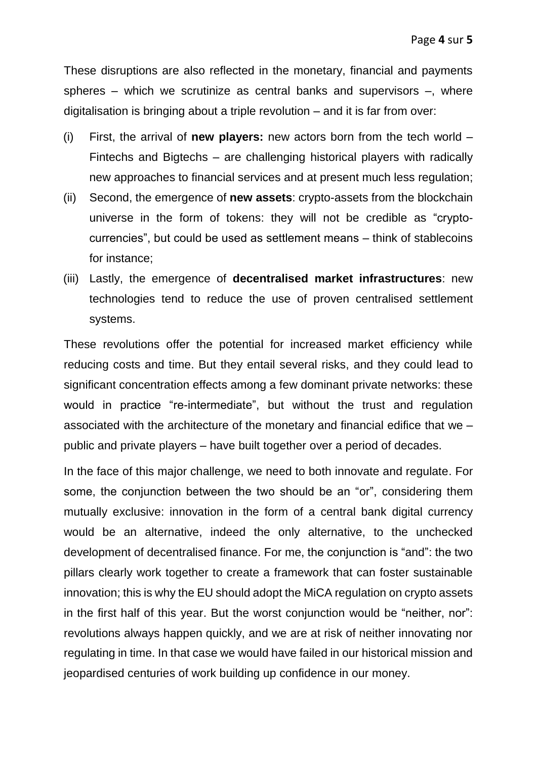These disruptions are also reflected in the monetary, financial and payments spheres – which we scrutinize as central banks and supervisors –, where digitalisation is bringing about a triple revolution – and it is far from over:

- (i) First, the arrival of **new players:** new actors born from the tech world Fintechs and Bigtechs – are challenging historical players with radically new approaches to financial services and at present much less regulation;
- (ii) Second, the emergence of **new assets**: crypto-assets from the blockchain universe in the form of tokens: they will not be credible as "cryptocurrencies", but could be used as settlement means – think of stablecoins for instance;
- (iii) Lastly, the emergence of **decentralised market infrastructures**: new technologies tend to reduce the use of proven centralised settlement systems.

These revolutions offer the potential for increased market efficiency while reducing costs and time. But they entail several risks, and they could lead to significant concentration effects among a few dominant private networks: these would in practice "re-intermediate", but without the trust and regulation associated with the architecture of the monetary and financial edifice that we – public and private players – have built together over a period of decades.

In the face of this major challenge, we need to both innovate and regulate. For some, the conjunction between the two should be an "or", considering them mutually exclusive: innovation in the form of a central bank digital currency would be an alternative, indeed the only alternative, to the unchecked development of decentralised finance. For me, the conjunction is "and": the two pillars clearly work together to create a framework that can foster sustainable innovation; this is why the EU should adopt the MiCA regulation on crypto assets in the first half of this year. But the worst conjunction would be "neither, nor": revolutions always happen quickly, and we are at risk of neither innovating nor regulating in time. In that case we would have failed in our historical mission and jeopardised centuries of work building up confidence in our money.